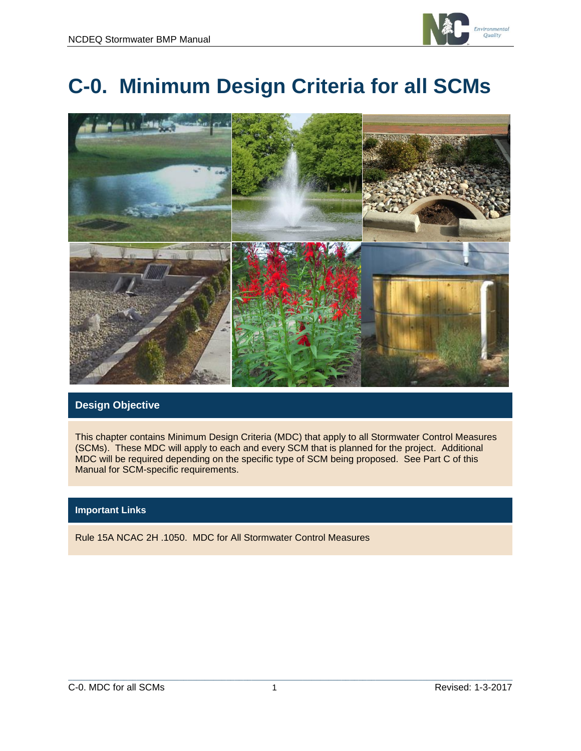

# **C-0. Minimum Design Criteria for all SCMs**



## **Design Objective**

This chapter contains Minimum Design Criteria (MDC) that apply to all Stormwater Control Measures (SCMs). These MDC will apply to each and every SCM that is planned for the project. Additional MDC will be required depending on the specific type of SCM being proposed. See Part C of this Manual for SCM-specific requirements.

#### **Important Links**

Rule 15A NCAC 2H .1050. MDC for All Stormwater Control Measures

 $\mathcal{L}_\mathcal{L} = \{ \mathcal{L}_\mathcal{L} = \{ \mathcal{L}_\mathcal{L} = \{ \mathcal{L}_\mathcal{L} = \{ \mathcal{L}_\mathcal{L} = \{ \mathcal{L}_\mathcal{L} = \{ \mathcal{L}_\mathcal{L} = \{ \mathcal{L}_\mathcal{L} = \{ \mathcal{L}_\mathcal{L} = \{ \mathcal{L}_\mathcal{L} = \{ \mathcal{L}_\mathcal{L} = \{ \mathcal{L}_\mathcal{L} = \{ \mathcal{L}_\mathcal{L} = \{ \mathcal{L}_\mathcal{L} = \{ \mathcal{L}_\mathcal{$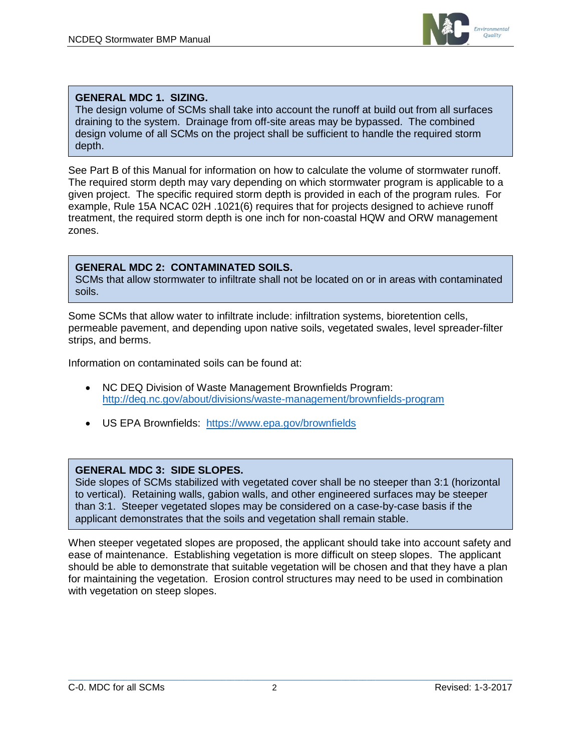

## **GENERAL MDC 1. SIZING.**

The design volume of SCMs shall take into account the runoff at build out from all surfaces draining to the system. Drainage from off-site areas may be bypassed. The combined design volume of all SCMs on the project shall be sufficient to handle the required storm depth.

See Part B of this Manual for information on how to calculate the volume of stormwater runoff. The required storm depth may vary depending on which stormwater program is applicable to a given project. The specific required storm depth is provided in each of the program rules. For example, Rule 15A NCAC 02H .1021(6) requires that for projects designed to achieve runoff treatment, the required storm depth is one inch for non-coastal HQW and ORW management zones.

#### **GENERAL MDC 2: CONTAMINATED SOILS.**

SCMs that allow stormwater to infiltrate shall not be located on or in areas with contaminated soils.

Some SCMs that allow water to infiltrate include: infiltration systems, bioretention cells, permeable pavement, and depending upon native soils, vegetated swales, level spreader-filter strips, and berms.

Information on contaminated soils can be found at:

- NC DEQ Division of Waste Management Brownfields Program: <http://deq.nc.gov/about/divisions/waste-management/brownfields-program>
- US EPA Brownfields: <https://www.epa.gov/brownfields>

## **GENERAL MDC 3: SIDE SLOPES.**

Side slopes of SCMs stabilized with vegetated cover shall be no steeper than 3:1 (horizontal to vertical). Retaining walls, gabion walls, and other engineered surfaces may be steeper than 3:1. Steeper vegetated slopes may be considered on a case-by-case basis if the applicant demonstrates that the soils and vegetation shall remain stable.

When steeper vegetated slopes are proposed, the applicant should take into account safety and ease of maintenance. Establishing vegetation is more difficult on steep slopes. The applicant should be able to demonstrate that suitable vegetation will be chosen and that they have a plan for maintaining the vegetation. Erosion control structures may need to be used in combination with vegetation on steep slopes.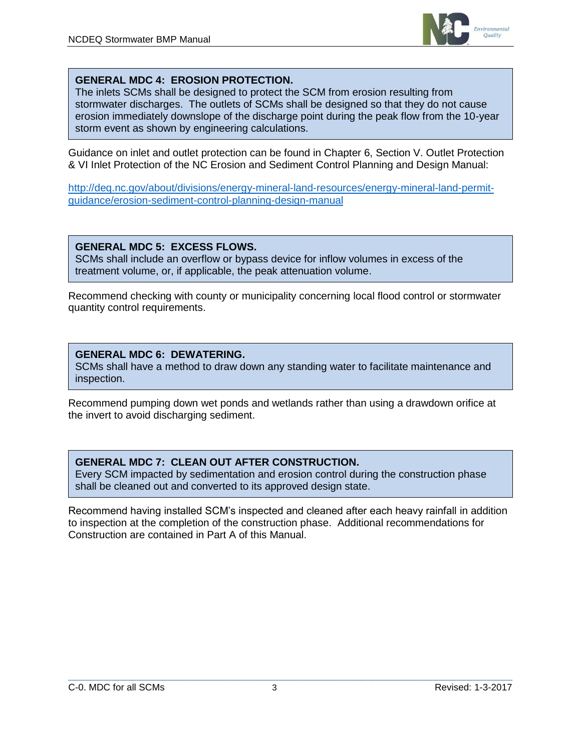

### **GENERAL MDC 4: EROSION PROTECTION.**

The inlets SCMs shall be designed to protect the SCM from erosion resulting from stormwater discharges. The outlets of SCMs shall be designed so that they do not cause erosion immediately downslope of the discharge point during the peak flow from the 10-year storm event as shown by engineering calculations.

Guidance on inlet and outlet protection can be found in Chapter 6, Section V. Outlet Protection & VI Inlet Protection of the NC Erosion and Sediment Control Planning and Design Manual:

[http://deq.nc.gov/about/divisions/energy-mineral-land-resources/energy-mineral-land-permit](http://deq.nc.gov/about/divisions/energy-mineral-land-resources/energy-mineral-land-permit-guidance/erosion-sediment-control-planning-design-manual)[guidance/erosion-sediment-control-planning-design-manual](http://deq.nc.gov/about/divisions/energy-mineral-land-resources/energy-mineral-land-permit-guidance/erosion-sediment-control-planning-design-manual)

#### **GENERAL MDC 5: EXCESS FLOWS.**

SCMs shall include an overflow or bypass device for inflow volumes in excess of the treatment volume, or, if applicable, the peak attenuation volume.

Recommend checking with county or municipality concerning local flood control or stormwater quantity control requirements.

## **GENERAL MDC 6: DEWATERING.**

SCMs shall have a method to draw down any standing water to facilitate maintenance and inspection.

Recommend pumping down wet ponds and wetlands rather than using a drawdown orifice at the invert to avoid discharging sediment.

#### **GENERAL MDC 7: CLEAN OUT AFTER CONSTRUCTION.**

Every SCM impacted by sedimentation and erosion control during the construction phase shall be cleaned out and converted to its approved design state.

Recommend having installed SCM's inspected and cleaned after each heavy rainfall in addition to inspection at the completion of the construction phase. Additional recommendations for Construction are contained in Part A of this Manual.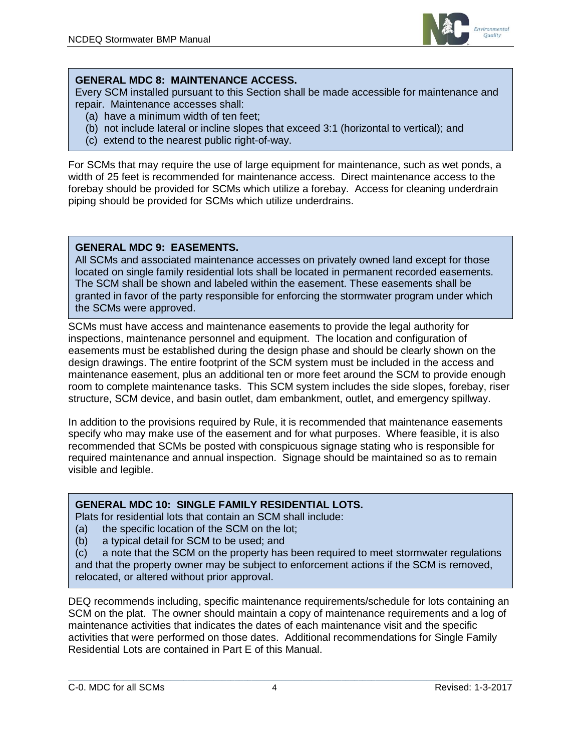

## **GENERAL MDC 8: MAINTENANCE ACCESS.**

Every SCM installed pursuant to this Section shall be made accessible for maintenance and repair. Maintenance accesses shall:

- (a) have a minimum width of ten feet;
- (b) not include lateral or incline slopes that exceed 3:1 (horizontal to vertical); and
- (c) extend to the nearest public right-of-way.

For SCMs that may require the use of large equipment for maintenance, such as wet ponds, a width of 25 feet is recommended for maintenance access. Direct maintenance access to the forebay should be provided for SCMs which utilize a forebay. Access for cleaning underdrain piping should be provided for SCMs which utilize underdrains.

## **GENERAL MDC 9: EASEMENTS.**

All SCMs and associated maintenance accesses on privately owned land except for those located on single family residential lots shall be located in permanent recorded easements. The SCM shall be shown and labeled within the easement. These easements shall be granted in favor of the party responsible for enforcing the stormwater program under which the SCMs were approved.

SCMs must have access and maintenance easements to provide the legal authority for inspections, maintenance personnel and equipment. The location and configuration of easements must be established during the design phase and should be clearly shown on the design drawings. The entire footprint of the SCM system must be included in the access and maintenance easement, plus an additional ten or more feet around the SCM to provide enough room to complete maintenance tasks. This SCM system includes the side slopes, forebay, riser structure, SCM device, and basin outlet, dam embankment, outlet, and emergency spillway.

In addition to the provisions required by Rule, it is recommended that maintenance easements specify who may make use of the easement and for what purposes. Where feasible, it is also recommended that SCMs be posted with conspicuous signage stating who is responsible for required maintenance and annual inspection. Signage should be maintained so as to remain visible and legible.

## **GENERAL MDC 10: SINGLE FAMILY RESIDENTIAL LOTS.**

Plats for residential lots that contain an SCM shall include:

- (a) the specific location of the SCM on the lot;
- (b) a typical detail for SCM to be used; and

(c) a note that the SCM on the property has been required to meet stormwater regulations and that the property owner may be subject to enforcement actions if the SCM is removed, relocated, or altered without prior approval.

DEQ recommends including, specific maintenance requirements/schedule for lots containing an SCM on the plat. The owner should maintain a copy of maintenance requirements and a log of maintenance activities that indicates the dates of each maintenance visit and the specific activities that were performed on those dates. Additional recommendations for Single Family Residential Lots are contained in Part E of this Manual.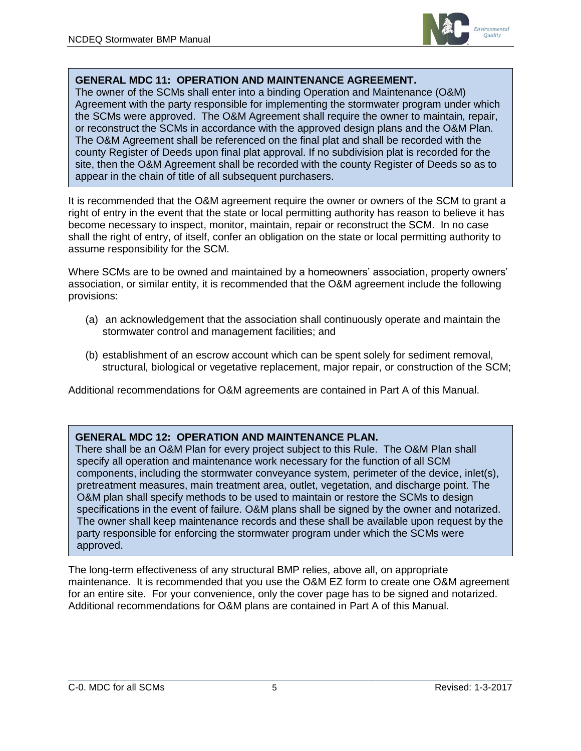

#### **GENERAL MDC 11: OPERATION AND MAINTENANCE AGREEMENT.**

The owner of the SCMs shall enter into a binding Operation and Maintenance (O&M) Agreement with the party responsible for implementing the stormwater program under which the SCMs were approved. The O&M Agreement shall require the owner to maintain, repair, or reconstruct the SCMs in accordance with the approved design plans and the O&M Plan. The O&M Agreement shall be referenced on the final plat and shall be recorded with the county Register of Deeds upon final plat approval. If no subdivision plat is recorded for the site, then the O&M Agreement shall be recorded with the county Register of Deeds so as to appear in the chain of title of all subsequent purchasers.

It is recommended that the O&M agreement require the owner or owners of the SCM to grant a right of entry in the event that the state or local permitting authority has reason to believe it has become necessary to inspect, monitor, maintain, repair or reconstruct the SCM. In no case shall the right of entry, of itself, confer an obligation on the state or local permitting authority to assume responsibility for the SCM.

Where SCMs are to be owned and maintained by a homeowners' association, property owners' association, or similar entity, it is recommended that the O&M agreement include the following provisions:

- (a) an acknowledgement that the association shall continuously operate and maintain the stormwater control and management facilities; and
- (b) establishment of an escrow account which can be spent solely for sediment removal, structural, biological or vegetative replacement, major repair, or construction of the SCM;

Additional recommendations for O&M agreements are contained in Part A of this Manual.

#### **GENERAL MDC 12: OPERATION AND MAINTENANCE PLAN.**

There shall be an O&M Plan for every project subject to this Rule. The O&M Plan shall specify all operation and maintenance work necessary for the function of all SCM components, including the stormwater conveyance system, perimeter of the device, inlet(s), pretreatment measures, main treatment area, outlet, vegetation, and discharge point. The O&M plan shall specify methods to be used to maintain or restore the SCMs to design specifications in the event of failure. O&M plans shall be signed by the owner and notarized. The owner shall keep maintenance records and these shall be available upon request by the party responsible for enforcing the stormwater program under which the SCMs were approved.

The long-term effectiveness of any structural BMP relies, above all, on appropriate maintenance. It is recommended that you use the O&M EZ form to create one O&M agreement for an entire site. For your convenience, only the cover page has to be signed and notarized. Additional recommendations for O&M plans are contained in Part A of this Manual.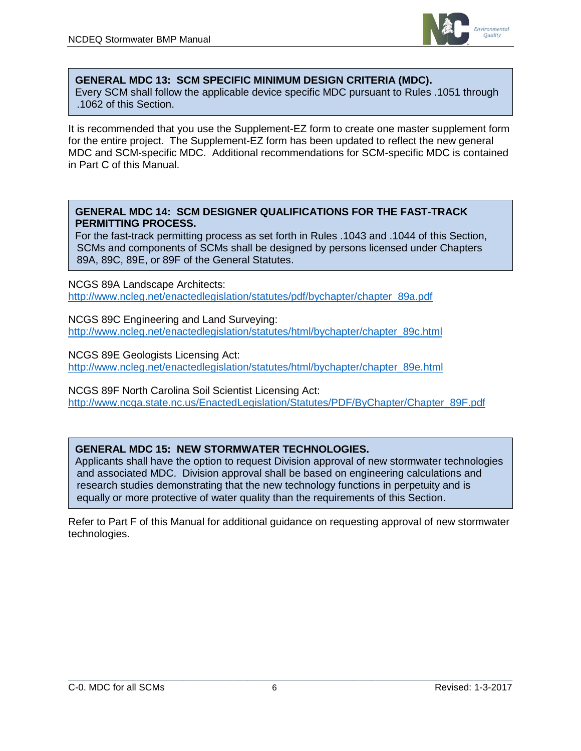

#### **GENERAL MDC 13: SCM SPECIFIC MINIMUM DESIGN CRITERIA (MDC).**

Every SCM shall follow the applicable device specific MDC pursuant to Rules .1051 through .1062 of this Section.

It is recommended that you use the Supplement-EZ form to create one master supplement form for the entire project. The Supplement-EZ form has been updated to reflect the new general MDC and SCM-specific MDC. Additional recommendations for SCM-specific MDC is contained in Part C of this Manual.

#### **GENERAL MDC 14: SCM DESIGNER QUALIFICATIONS FOR THE FAST-TRACK PERMITTING PROCESS.**

For the fast-track permitting process as set forth in Rules .1043 and .1044 of this Section, SCMs and components of SCMs shall be designed by persons licensed under Chapters 89A, 89C, 89E, or 89F of the General Statutes.

NCGS 89A Landscape Architects: [http://www.ncleg.net/enactedlegislation/statutes/pdf/bychapter/chapter\\_89a.pdf](http://www.ncleg.net/enactedlegislation/statutes/pdf/bychapter/chapter_89a.pdf)

NCGS 89C Engineering and Land Surveying: [http://www.ncleg.net/enactedlegislation/statutes/html/bychapter/chapter\\_89c.html](http://www.ncleg.net/enactedlegislation/statutes/html/bychapter/chapter_89c.html)

NCGS 89E Geologists Licensing Act:

[http://www.ncleg.net/enactedlegislation/statutes/html/bychapter/chapter\\_89e.html](http://www.ncleg.net/enactedlegislation/statutes/html/bychapter/chapter_89e.html)

NCGS 89F North Carolina Soil Scientist Licensing Act: [http://www.ncga.state.nc.us/EnactedLegislation/Statutes/PDF/ByChapter/Chapter\\_89F.pdf](http://www.ncga.state.nc.us/EnactedLegislation/Statutes/PDF/ByChapter/Chapter_89F.pdf)

## **GENERAL MDC 15: NEW STORMWATER TECHNOLOGIES.**

Applicants shall have the option to request Division approval of new stormwater technologies and associated MDC. Division approval shall be based on engineering calculations and research studies demonstrating that the new technology functions in perpetuity and is equally or more protective of water quality than the requirements of this Section.

Refer to Part F of this Manual for additional guidance on requesting approval of new stormwater technologies.